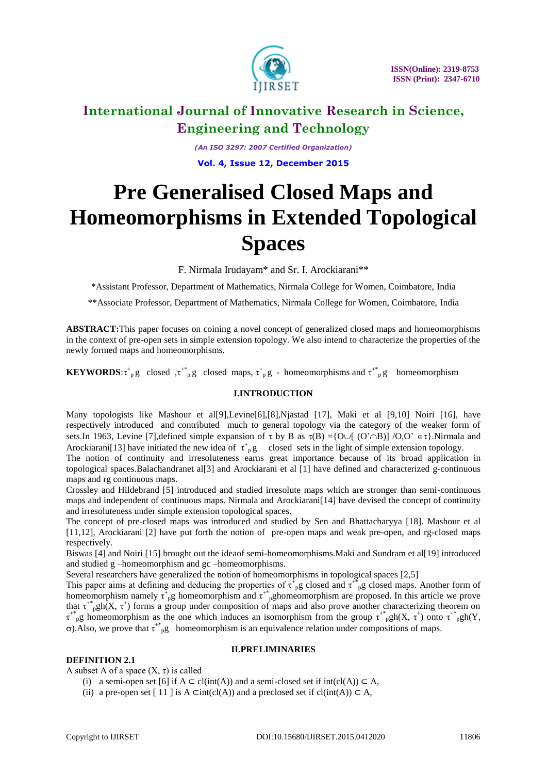

*(An ISO 3297: 2007 Certified Organization)* **Vol. 4, Issue 12, December 2015**

# **Pre Generalised Closed Maps and Homeomorphisms in Extended Topological Spaces**

F. Nirmala Irudayam\* and Sr. I. Arockiarani\*\*

\*Assistant Professor, Department of Mathematics, Nirmala College for Women, Coimbatore, India

\*\*Associate Professor, Department of Mathematics, Nirmala College for Women, Coimbatore, India

**ABSTRACT:**This paper focuses on coining a novel concept of generalized closed maps and homeomorphisms in the context of pre-open sets in simple extension topology. We also intend to characterize the properties of the newly formed maps and homeomorphisms.

**KEYWORDS:** $\tau^*_{p}$  g closed  $\tau^*_{p}$  g closed maps,  $\tau^*_{p}$  g - homeomorphisms and  $\tau^*_{p}$  g homeomorphism

# **I.INTRODUCTION**

Many topologists like Mashour et al[9],Levine[6],[8],Njastad [17], Maki et al [9,10] Noiri [16], have respectively introduced and contributed much to general topology via the category of the weaker form of sets.In 1963, Levine [7], defined simple expansion of  $\tau$  by B as  $\tau(B) = \{O \cup [ (O' \cap B)] / O, O' \in \tau\}$ . Nirmala and Arockiarani[13] have initiated the new idea of  $\tau_{p}^{+}g$  closed sets in the light of simple extension topology.

The notion of continuity and irresoluteness earns great importance because of its broad application in topological spaces.Balachandranet al[3] and Arockiarani et al [1] have defined and characterized g-continuous maps and rg continuous maps.

Crossley and Hildebrand [5] introduced and studied irresolute maps which are stronger than semi-continuous maps and independent of continuous maps. Nirmala and Arockiarani[14] have devised the concept of continuity and irresoluteness under simple extension topological spaces.

The concept of pre-closed maps was introduced and studied by Sen and Bhattacharyya [18]. Mashour et al [11,12], Arockiarani [2] have put forth the notion of pre-open maps and weak pre-open, and rg-closed maps respectively.

Biswas [4] and Noiri [15] brought out the ideaof semi-homeomorphisms.Maki and Sundram et al[19] introduced and studied g –homeomorphism and gc –homeomorphisms.

Several researchers have generalized the notion of homeomorphisms in topological spaces [2,5]

This paper aims at defining and deducing the properties of  $\tau_{p}^{\dagger}$ g closed and  $\tau_{p}^{\dagger}$ g closed maps. Another form of homeomorphism namely  $\tau_{p}^{\dagger}$ g homeomorphism and  $\tau_{p}^{\dagger}$ ghomeomorphism are proposed. In this article we prove that  $\tau^{+}$ <sub>p</sub>gh(X,  $\tau^{+}$ ) forms a group under composition of maps and also prove another characterizing theorem on  $\tau^{*}$ <sub>p</sub>g homeomorphism as the one which induces an isomorphism from the group  $\tau^{*}$ <sub>p</sub>gh(X,  $\tau^{+}$ ) onto  $\tau^{*}$ <sub>p</sub>gh(Y,  $\sigma$ ). Also, we prove that  $\tau^{*}$ <sub>p</sub>g homeomorphism is an equivalence relation under compositions of maps.

# **DEFINITION 2.1**

# **II.PRELIMINARIES**

A subset A of a space  $(X, \tau)$  is called

- (i) a semi-open set [6] if  $A \subset \text{cl(int}(A))$  and a semi-closed set if  $\text{int}(\text{cl}(A)) \subset A$ ,
- (ii) a pre-open set [ 11 ] is A ⊂int(cl(A)) and a preclosed set if cl(int(A)) ⊂ A,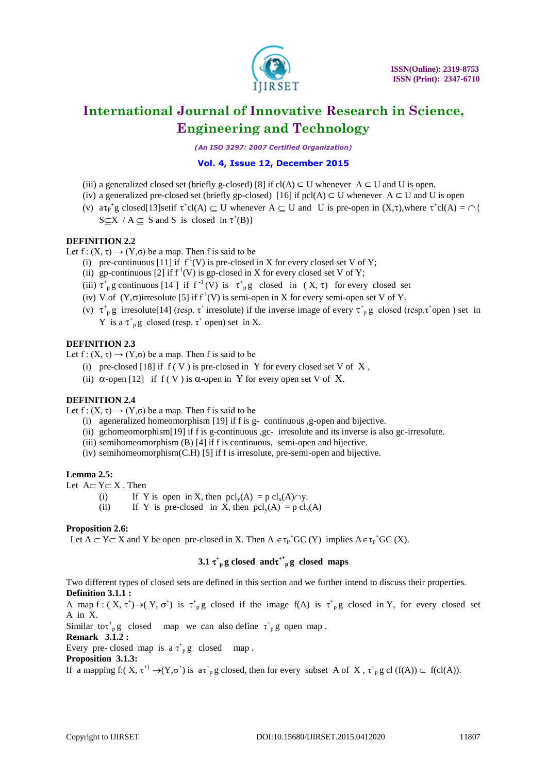

*(An ISO 3297: 2007 Certified Organization)*

# **Vol. 4, Issue 12, December 2015**

- (iii) a generalized closed set (briefly g-closed) [8] if cl(A)  $\subset$  U whenever A  $\subset$  U and U is open.
- (iv) a generalized pre-closed set (briefly gp-closed) [16] if pcl(A)  $\subset$  U whenever A  $\subset$  U and U is open
- (v)  $a\tau_{P}^{+}g$  closed[13]setif  $\tau^{+}cl(A) \subseteq U$  whenever  $A \subseteq U$  and U is pre-open in  $(X,\tau)$ , where  $\tau^{+}cl(A) = \bigcap \{$  $S \subseteq X / A \subseteq S$  and S is closed in  $\tau^+(B)$

# **DEFINITION 2.2**

Let  $f: (X, \tau) \rightarrow (Y, \sigma)$  be a map. Then f is said to be

- (i) pre-continuous [11] if  $f'(V)$  is pre-closed in X for every closed set V of Y;
- (ii) gp-continuous [2] if  $f^{-1}(V)$  is gp-closed in X for every closed set V of Y;
- (iii)  $\tau^*$ <sub>p</sub> g continuous [14 ] if  $f^{-1}(V)$  is  $\tau^*$ <sub>p</sub> g closed in  $(X, \tau)$  for every closed set
- (iv) V of  $(Y,\sigma)$ irresolute [5] if  $f<sup>1</sup>(V)$  is semi-open in X for every semi-open set V of Y.
- (v)  $\tau_{p}^{+}$ g irresolute[14] (resp.  $\tau^{+}$  irresolute) if the inverse image of every  $\tau_{p}^{+}$ g closed (resp. $\tau^{+}$ open) set in Y is a  $\tau^+$ <sub>p</sub>g closed (resp.  $\tau^+$  open) set in X.

# **DEFINITION 2.3**

Let  $f: (X, \tau) \rightarrow (Y, \sigma)$  be a map. Then f is said to be

- (i) pre-closed [18] if  $f(V)$  is pre-closed in Y for every closed set V of X,
- (ii)  $\alpha$ -open [12] if f (V) is  $\alpha$ -open in Y for every open set V of X.

# **DEFINITION 2.4**

Let  $f: (X, \tau) \rightarrow (Y, \sigma)$  be a map. Then f is said to be

- (i) ageneralized homeomorphism [19] if f is g- continuous ,g-open and bijective.
- (ii) gchomeomorphism[19] if f is g-continuous ,gc- irresolute and its inverse is also gc-irresolute.
- (iii) semihomeomorphism (B) [4] if f is continuous, semi-open and bijective.
- (iv) semihomeomorphism(C.H) [5] if f is irresolute, pre-semi-open and bijective.

# **Lemma 2.5:**

Let  $A \subset Y \subset X$ . Then

- (i) If Y is open in X, then  $\text{pcl}_v(A) = \text{pcl}_x(A) \cap y$ .
- (ii) If Y is pre-closed in X, then  $\text{pcl}_v(A) = \text{pcl}_x(A)$

# **Proposition 2.6:**

Let  $A \subset Y \subset X$  and Y be open pre-closed in X. Then  $A \in \tau_P^+GC(Y)$  implies  $A \in \tau_P^+GC(X)$ .

# **3.1**  $\tau^*$ <sub>p</sub> g closed maps

Two different types of closed sets are defined in this section and we further intend to discuss their properties. **Definition 3.1.1 :**

A map  $f: (X, \tau^+) \to (Y, \sigma^+)$  is  $\tau^+_{p}g$  closed if the image  $f(A)$  is  $\tau^+_{p}g$  closed in Y, for every closed set A in X.

Similar to  $\tau_p^*$  closed map we can also define  $\tau_p^*$  open map.

**Remark 3.1.2 :**

Every pre-closed map is  $a \tau_{p}^{+} g$  closed map.

**Proposition 3.1.3:**

If a mapping  $f: (X, \tau^+) \to (Y, \sigma^+)$  is  $\tau^+$ <sub>p</sub>g closed, then for every subset A of X,  $\tau^+$ <sub>p</sub>g cl (f(A))  $\subset$  f(cl(A)).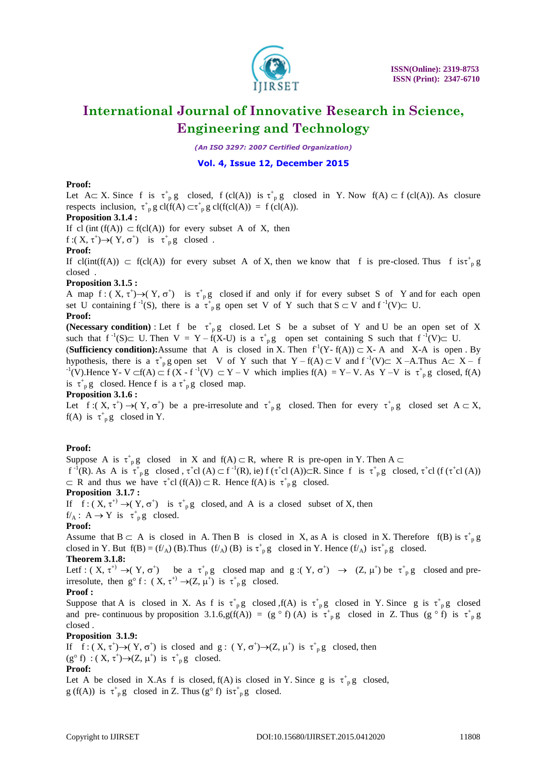

*(An ISO 3297: 2007 Certified Organization)*

# **Vol. 4, Issue 12, December 2015**

#### **Proof:**

Let  $A \subset X$ . Since f is  $\tau^+$  g closed, f (cl(A)) is  $\tau^+$  g closed in Y. Now f(A)  $\subset$  f (cl(A)). As closure respects inclusion,  $\tau^+$ <sub>p</sub> g cl(f(A)  $\subset \tau^+$ <sub>p</sub> g cl(f(cl(A)) = f (cl(A)).

### **Proposition 3.1.4 :**

If cl (int (f(A))  $\subset$  f(cl(A)) for every subset A of X, then

 $f:(X, \tau^+) \rightarrow (Y, \sigma^+)$  is  $\tau^+$ <sub>p</sub>g closed.

#### **Proof:**

If cl(int(f(A))  $\subset$  f(cl(A)) for every subset A of X, then we know that f is pre-closed. Thus f is  $\tau^+$ <sub>p</sub> g closed .

# **Proposition 3.1.5 :**

A map  $f: (X, \tau^+) \to (Y, \sigma^+)$  is  $\tau^+_{p}g$  closed if and only if for every subset S of Y and for each open set U containing  $f^{-1}(S)$ , there is a  $\tau^+$ <sub>p</sub>g open set V of Y such that  $S \subset V$  and  $f^{-1}(V) \subset U$ .

**Proof:**

**(Necessary condition)** : Let f be  $\tau^+$  pg closed. Let S be a subset of Y and U be an open set of X such that  $f^{-1}(S) \subset U$ . Then  $V = Y - f(X-U)$  is a  $\tau^+{}_{p}g$  open set containing S such that  $f^{-1}(V) \subset U$ . **(Sufficiency condition):**Assume that A is closed in X. Then  $f'(Y - f(A)) \subset X$ - A and X-A is open By

hypothesis, there is a  $\tau^+$ <sub>p</sub> g open set V of Y such that Y – f(A)  $\subset$  V and f<sup>-1</sup>(V) $\subset$  X – A.Thus A $\subset$  X – f  $f^{-1}(V)$ . Hence Y- V  $\subset f(A) \subset f (X - f^{-1}(V) \subset Y - V$  which implies  $f(A) = Y - V$ . As Y -V is  $\tau^+$ <sub>p</sub> g closed,  $f(A)$ is  $\tau^+$ <sub>p</sub>g closed. Hence f is a  $\tau^+$ <sub>p</sub>g closed map.

# **Proposition 3.1.6 :**

Let  $f:(X, \tau^+) \to (Y, \sigma^+)$  be a pre-irresolute and  $\tau^+_{p}g$  closed. Then for every  $\tau^+_{p}g$  closed set  $A \subset X$ ,  $f(A)$  is  $\tau^+$ <sub>p</sub>g closed in Y.

# **Proof:**

Suppose A is  $\tau^+$ <sub>p</sub>g closed in X and  $f(A) \subset R$ , where R is pre-open in Y. Then A  $f^{-1}(R)$ . As A is  $\tau^+$ <sub>p</sub>g closed,  $\tau^+$ cl (A)  $\subset f^{-1}(R)$ , ie)  $f(\tau^+$ cl (A)) $\subset R$ . Since f is  $\tau^+$ <sub>p</sub>g closed,  $\tau^+$ cl ( $f(\tau^+$ cl (A))  $\subset$  R and thus we have  $\tau^+cl$  (f(A))  $\subset$  R. Hence f(A) is  $\tau^+{}_{p}g$  closed.

#### **Proposition 3.1.7 :**

If  $f: (X, \tau^+) \to (Y, \sigma^+)$  is  $\tau^+_{p}g$  closed, and A is a closed subset of X, then

 $f/A: A \rightarrow Y$  is  $\tau^+{}_{p}g$  closed.

# **Proof:**

Assume that  $B \subset A$  is closed in A. Then B is closed in X, as A is closed in X. Therefore  $f(B)$  is  $\tau_p^* g$ closed in Y. But  $f(B) = (f/A)$  (B). Thus  $(f/A)$  (B) is  $\tau_p^{\dagger} g$  closed in Y. Hence  $(f/A)$  is  $\tau_p^{\dagger} g$  closed.

# **Theorem 3.1.8:**

Let  $f: (X, \tau^+) \to (Y, \sigma^+)$  be a  $\tau^+$  p closed map and g: $(Y, \sigma^+) \to (Z, \mu^+)$  be  $\tau^+$  p closed and preirresolute, then  $g^{\circ} f$ :  $(X, \tau^{+}) \rightarrow (Z, \mu^{+})$  is  $\tau^{+}_{p} g$  closed.

# **Proof :**

Suppose that A is closed in X. As f is  $\tau^+$  g closed  $f(A)$  is  $\tau^+$  g closed in Y. Since g is  $\tau^+$  g closed and pre- continuous by proposition 3.1.6,g(f(A)) = (g  $\circ$  f) (A) is  $\tau_{p}^{+}$ g closed in Z. Thus (g  $\circ$  f) is  $\tau_{p}^{+}$ g closed .

# **Proposition 3.1.9:**

If  $f: (X, \tau^+) \rightarrow (Y, \sigma^+)$  is closed and  $g: (Y, \sigma^+) \rightarrow (Z, \mu^+)$  is  $\tau^+_{p} g$  closed, then  $(g^{\circ} f) : (X, \tau^{+}) \rightarrow (Z, \mu^{+})$  is  $\tau^{+}_{p} g$  closed.

#### **Proof:**

Let A be closed in X.As f is closed,  $f(A)$  is closed in Y. Since g is  $\tau_{p}^{+}g$  closed,  $g(f(A))$  is  $\tau^+$ <sub>p</sub> g closed in Z. Thus (g<sup>o</sup> f) is  $\tau^+$ <sub>p</sub> g closed.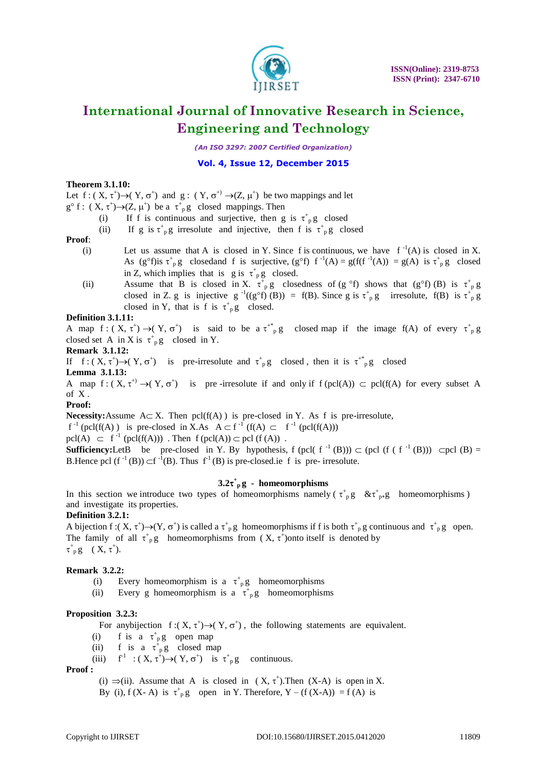

*(An ISO 3297: 2007 Certified Organization)*

# **Vol. 4, Issue 12, December 2015**

### **Theorem 3.1.10:**

Let  $f: (X, \tau^+) \to (Y, \sigma^+)$  and  $g: (Y, \sigma^+) \to (Z, \mu^+)$  be two mappings and let

- $g^{\circ}$  f :  $(X, \tau^+) \rightarrow (Z, \mu^+)$  be a  $\tau^+$ <sub>p</sub>g closed mappings. Then
	- (i) If f is continuous and surjective, then g is  $\tau_{p}^{+}$ g closed
		- (ii) If g is  $\tau^+$ <sub>p</sub>g irresolute and injective, then f is  $\tau^+$ <sub>p</sub>g closed

#### **Proof**:

- (i) Let us assume that A is closed in Y. Since f is continuous, we have  $f^{-1}(A)$  is closed in X. As  $(g^{\circ}f)$  is  $\tau_{p}^{+}g$  closed and f is surjective,  $(g^{\circ}f)$  f<sup>-1</sup>(A) =  $g(f(f^{-1}(A)) = g(A)$  is  $\tau_{p}^{+}g$  closed in Z, which implies that is g is  $\tau^+$  g closed.
- (ii) Assume that B is closed in X.  $\tau^+$  g closedness of (g °f) shows that (g°f) (B) is  $\tau^+$  g closed in Z. g is injective  $g^{-1}((g^{\circ}f)(B)) = f(B)$ . Since g is  $\tau_p^* g$  irresolute,  $f(B)$  is  $\tau_p^* g$ closed in Y, that is f is  $\tau^+$ <sub>p</sub>g closed.

#### **Definition 3.1.11:**

A map  $f: (X, \tau^+) \to (Y, \sigma^+)$  is said to be a  $\tau^{+*}$  g closed map if the image  $f(A)$  of every  $\tau^+$  g closed set A in X is  $\tau^+$ <sub>p</sub>g closed in Y.

**Remark 3.1.12:**

If  $f: (X, \tau^+) \to (Y, \sigma^+)$  is pre-irresolute and  $\tau^+$  g closed, then it is  $\tau^+$  g closed **Lemma 3.1.13:**

A map  $f: (X, \tau^+) \to (Y, \sigma^+)$  is pre-irresolute if and only if  $f (pcl(A)) \subset pcl(f(A))$  for every subset A of X .

# **Proof:**

**Necessity:**Assume  $A \subset X$ . Then  $\text{pcl}(f(A))$  is pre-closed in Y. As f is pre-irresolute,

 $f^{-1}$  (pcl(f(A)) is pre-closed in X.As  $A \subset f^{-1}$  (f(A)  $\subset f^{-1}$  (pcl(f(A)))

 $\text{pcl}(A) \subset f^{-1} \text{ (pcl}(f(A)))$ . Then  $f \text{ (pcl}(A)) \subset \text{pcl } (f(A))$ .

**Sufficiency:**LetB be pre-closed in Y. By hypothesis, f (pcl( $f^{-1}(B)$ ))  $\subset$  (pcl( $f(f^{-1}(B))$ )  $\subset$ pcl( $B$ ) = B.Hence pcl  $(f^{-1}(B)) \subset f^{-1}(B)$ . Thus  $f^1(B)$  is pre-closed.ie f is pre-irresolute.

# $3.2\tau^+$ <sub>p</sub>g - homeomorphisms

In this section we introduce two types of homeomorphisms namely ( $\tau_{p}^{+}g \propto \tau_{p*}^{+}g$  homeomorphisms) and investigate its properties.

#### **Definition 3.2.1:**

A bijection  $f: (X, \tau^+) \to (Y, \sigma^+)$  is called a  $\tau^+$  g homeomorphisms if f is both  $\tau^+$  g continuous and  $\tau^+$  g open. The family of all  $\tau^+$ <sub>p</sub>g homeomorphisms from  $(X, \tau^+)$ onto itself is denoted by  $\tau^{+}_{p}$  g ( X,  $\tau^{+}$ ).

#### **Remark 3.2.2:**

- (i) Every homeomorphism is a  $\tau^+$ <sub>p</sub>g homeomorphisms
- (ii) Every g homeomorphism is a  $\tau^+$ <sub>p</sub>g homeomorphisms

#### **Proposition 3.2.3:**

For any bijection  $f:(X, \tau^+) \rightarrow (Y, \sigma^+)$ , the following statements are equivalent.

- (i) f is a  $\tau^+$ <sub>p</sub>g open map
- (ii) f is a  $\tau^{\hat{+}}_{p}g$  closed map
- (iii)  $f^1$  :  $(X, \tau^{\dagger}) \rightarrow (Y, \sigma^{\dagger})$  is  $\tau^{\dagger}{}_{p}g$  continuous.

#### **Proof :**

(i)  $\Rightarrow$  (ii). Assume that A is closed in (X,  $\tau^+$ ). Then (X-A) is open in X. By (i),  $f(X-A)$  is  $\tau^+$ <sub>p</sub>g open in Y. Therefore,  $Y - (f(X-A)) = f(A)$  is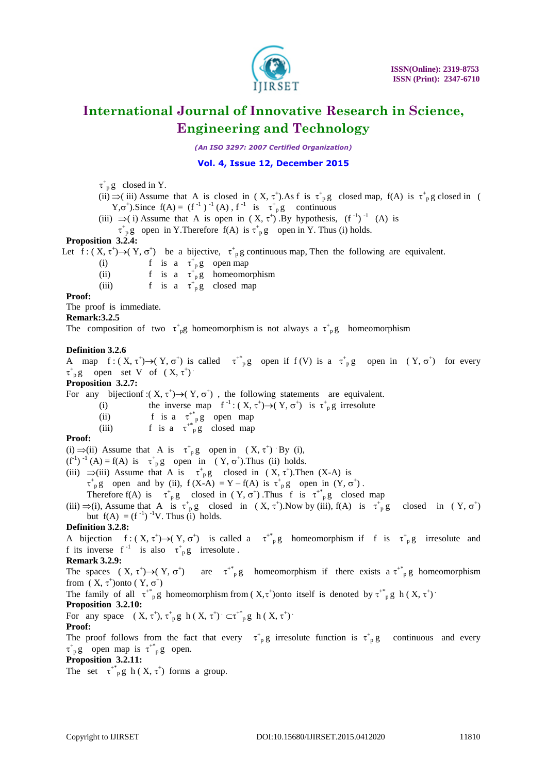

*(An ISO 3297: 2007 Certified Organization)*

# **Vol. 4, Issue 12, December 2015**

 $\tau_{p}^{+}$ g closed in Y.

- (ii)  $\Rightarrow$  (iii) Assume that A is closed in  $(X, \tau^*)$ . As f is  $\tau^+$ <sub>p</sub>g closed map, f(A) is  $\tau^+$ <sub>p</sub>g closed in (  $Y, \sigma^+$ ). Since  $f(A) = (f^{-1})^{-1}(A)$ ,  $f^{-1}$  is  $\tau^+_{p}g$  continuous
- (iii)  $\Rightarrow$  (i) Assume that A is open in  $(X, \tau^+)$ . By hypothesis,  $(f^{-1})^{-1}$  (A) is

 $\tau^+$ <sub>p</sub>g open in Y.Therefore f(A) is  $\tau^+$ <sub>p</sub>g open in Y. Thus (i) holds.

# **Proposition 3.2.4:**

Let  $f: (X, \tau^+) \to (Y, \sigma^+)$  be a bijective,  $\tau^+$ <sub>p</sub> g continuous map, Then the following are equivalent.

(i) f is a  $\tau^+$ <sub>p</sub>g open map

(ii) f is a  $\tau^+$ <sub>p</sub>g homeomorphism

(iii) f is a  $\tau^+$  g closed map

# **Proof:**

The proof is immediate.

**Remark:3.2.5**

The composition of two  $\tau^+$ <sub>p</sub>g homeomorphism is not always a  $\tau^+$ <sub>p</sub>g homeomorphism

# **Definition 3.2.6**

A map  $f: (X, \tau^+) \to (Y, \sigma^+)$  is called  $\tau^*_{p}g$  open if  $f(V)$  is a  $\tau^*_{p}g$  open in  $(Y, \sigma^+)$  for every  $\tau^+$ <sub>p</sub>g open set V of  $(X, \tau^+)$ .

#### **Proposition 3.2.7:**

For any bijectionf:  $(X, \tau^+) \rightarrow (Y, \sigma^+)$ , the following statements are equivalent.

(i) the inverse map  $f^{-1} : (X, \tau^+) \to (Y, \sigma^+)$  is  $\tau^+_{p} g$  irresolute

- (ii) f is a  $\tau^{+*}_{\text{p}}g$  open map
- (iii) f is a  $\tau^{*}$ <sup>n</sup>g closed map

# **Proof:**

(i)  $\Rightarrow$  (ii) Assume that A is  $\tau^+$  g open in  $(X, \tau^+)$  By (i),

 $(f<sup>-1</sup>)<sup>-1</sup>(A) = f(A)$  is  $\tau^+_{p}g$  open in  $(Y, \sigma^+)$ . Thus (ii) holds.

(iii)  $\Rightarrow$ (iii) Assume that A is  $\tau^+$ <sub>p</sub>g closed in (X,  $\tau^+$ ). Then (X-A) is

 $\tau^+$ <sub>p</sub>g open and by (ii),  $f(X-A) = Y - f(A)$  is  $\tau^+$ <sub>p</sub>g open in  $(Y, \sigma^+)$ .

Therefore  $f(A)$  is  $\tau^+_{p}g$  closed in  $(Y, \sigma^+)$ . Thus f is  $\tau^+_{p}g$  closed map

(iii)  $\Rightarrow$  (i), Assume that A is  $\tau^+$  g closed in  $(X, \tau^+)$ . Now by (iii), f(A) is  $\tau^+$  g closed in  $(Y, \sigma^+)$ but  $f(A) = (f^{-1})^{-1}V$ . Thus (i) holds.

# **Definition 3.2.8:**

A bijection  $f: (X, \tau^+) \to (Y, \sigma^+)$  is called a  $\tau^*_{p}g$  homeomorphism if f is  $\tau^*_{p}g$  irresolute and f its inverse  $f^{-1}$  is also  $\tau^+$ <sub>p</sub>g irresolute.

# **Remark 3.2.9:**

The spaces  $(X, \tau^+) \rightarrow (Y, \sigma^+)$  are  $\tau^*_{p}g$  homeomorphism if there exists a  $\tau^*_{p}g$  homeomorphism from  $(X, \tau^+)$ onto  $(Y, \sigma^+)$ 

The family of all  $\tau^*_{p}$ g homeomorphism from  $(X,\tau^+)$ onto itself is denoted by  $\tau^*_{p}$ g h $(X,\tau^+)$ .

#### **Proposition 3.2.10:**

For any space  $(X, \tau^+)$ ,  $\tau^+$  g h  $(X, \tau^+)$   $\subset \tau^+$   $_{p}^{*}$  g h  $(X, \tau^+)$ 

#### **Proof:**

The proof follows from the fact that every  $\tau^+$  g irresolute function is  $\tau^+$  g continuous and every  $\tau^+$ <sub>p</sub>g open map is  $\tau^+$ <sup>\*</sup><sub>p</sub>g open.

# **Proposition 3.2.11:**

The set  $\tau^{+*}_{p}$ g h (X,  $\tau^{+}$ ) forms a group.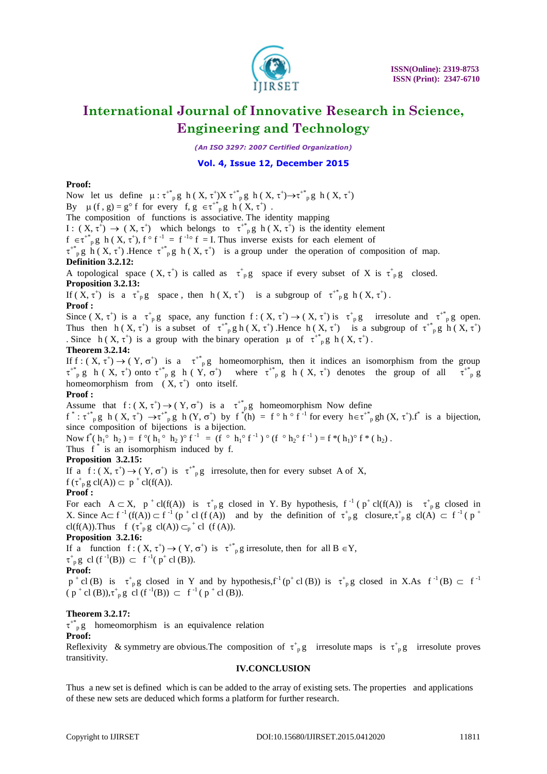

*(An ISO 3297: 2007 Certified Organization)*

# **Vol. 4, Issue 12, December 2015**

# **Proof:**

Now let us define  $\mu : \tau^*_{p}g$  h  $(X, \tau^*)X \tau^*_{p}g$  h  $(X, \tau^*)\rightarrow \tau^*_{p}g$  h  $(X, \tau^*)$ By  $\mu$  (f, g) = g<sup>o</sup> f for every f, g  $\in \tau^{*}$ <sub>p</sub>g h (X,  $\tau^{+}$ ). The composition of functions is associative. The identity mapping

I:  $(X, \tau^+) \to (X, \tau^+)$  which belongs to  $\tau^*$  p h  $(X, \tau^+)$  is the identity element

 $f \in \tau^{*}$  p h  $(X, \tau^{+})$ ,  $f \circ f^{-1} = f^{-1} \circ f = I$ . Thus inverse exists for each element of

 $\tau^*$ <sub>p</sub> g h (X,  $\tau^*$ ). Hence  $\tau^*$ <sub>p</sub>g h (X,  $\tau^*$ ) is a group under the operation of composition of map. **Definition 3.2.12:**

A topological space  $(X, \tau^+)$  is called as  $\tau^+{}_{p}g$  space if every subset of X is  $\tau^+{}_{p}g$  closed. **Proposition 3.2.13:**

If  $(X, \tau^+)$  is a  $\tau^+$ <sub>p</sub>g space, then h  $(X, \tau^+)$  is a subgroup of  $\tau^*$ <sub>p</sub>g h  $(X, \tau^+)$ . **Proof :**

Since  $(X, \tau^+)$  is a  $\tau^+{}_{p}g$  space, any function  $f: (X, \tau^+) \to (X, \tau^+)$  is  $\tau^+{}_{p}g$  irresolute and  $\tau^+{}_{p}g$  open. Thus then  $h(X, \tau^+)$  is a subset of  $\tau^*_{p} g h(X, \tau^+)$ . Hence  $h(X, \tau^+)$  is a subgroup of  $\tau^*_{p} g h(X, \tau^+)$ Since  $h(X, \tau^+)$  is a group with the binary operation  $\mu$  of  $\tau^*_{p}$ g  $h(X, \tau^+)$ .

# **Theorem 3.2.14:**

If  $f: (X, \tau^+) \to (Y, \sigma^+)$  is a  $\tau^*_{p}g$  homeomorphism, then it indices an isomorphism from the group  $\tau^{*}_{p}$  g h (X,  $\tau^{+}$ ) onto  $\tau^{*}_{p}$  g h (Y,  $\sigma^{+}$ ) where  $\tau^{*}_{p}$  g h (X,  $\tau^{+}$ ) denotes the group of all  $\tau^{*}_{p}$  g homeomorphism from  $(X, \tau^+)$  onto itself.

# **Proof :**

Assume that  $f: (X, \tau^+) \to (Y, \sigma^+)$  is a  $\tau^*_{p}g$  homeomorphism Now define  $f^*: \tau^{*}$ pg h  $(X, \tau^+)$   $\rightarrow \tau^{*}$ pg h  $(Y, \sigma^+)$  by  $f^*(h) = f \circ h \circ f^{-1}$  for every  $h \in \tau^{*}$ pgh  $(X, \tau^+)$ .  $f^*$  is a bijection,

since composition of bijections is a bijection.

Now  $f^*(h_1^{\circ} h_2) = f^{\circ}(h_1^{\circ} h_2)^{\circ} f^{-1} = (f^{\circ} h_1^{\circ} f^{-1})^{\circ} (f^{\circ} h_2^{\circ} f^{-1}) = f^*(h_1)^{\circ} f^*(h_2)$ .

Thus f<sup>\*</sup> is an isomorphism induced by f.

# **Proposition 3.2.15:**

If a f:  $(X, \tau^+) \to (Y, \sigma^+)$  is  $\tau^{+*}$  g irresolute, then for every subset A of X,

 $f(\tau_p^* g \text{ cl}(A)) \subset p^+ \text{ cl}(f(A)).$ 

# **Proof :**

For each  $A \subset X$ ,  $p^+ cl(f(A))$  is  $\tau^+_{p} g$  closed in Y. By hypothesis,  $f^{-1}(p^+ cl(f(A))$  is  $\tau^+_{p} g$  closed in X. Since  $A \subset f^{-1}(f(A)) \subset f^{-1}(p^+ cl (f(A))$  and by the definition of  $\tau^+$ <sub>p</sub> g closure,  $\tau^+$ <sub>p</sub> g cl(A)  $\subset f^{-1}(p^+$ cl(f(A)).Thus f  $(\tau^+_{p}g \text{cl}(A)) \subset_p^+ \text{cl}$  (f(A)).

# **Proposition 3.2.16:**

If a function  $f: (X, \tau^+) \to (Y, \sigma^+)$  is  $\tau^{+*}{}_{p}g$  irresolute, then for all  $B \in Y$ ,  $\tau^+$ <sub>p</sub> g cl (f<sup>-1</sup>(B))  $\subset$  f<sup>-1</sup>(p<sup>+</sup> cl (B)). **Proof:**

 $p^+$ cl (B) is  $\tau^+$ <sub>p</sub>g closed in Y and by hypothesis,  $f^1(p^+$ cl (B)) is  $\tau^+$ <sub>p</sub>g closed in X.As  $f^{-1}(B) \subset f^{-1}$  $(p^+ cl (B)), \tau^+_{p} g \text{ cl } (f^{-1}(B)) \subset f^{-1}(p^+ cl (B)).$ 

# **Theorem 3.2.17:**

 $\tau^{*}$ <sup>\*</sup><sub>p</sub>g homeomorphism is an equivalence relation **Proof:**

Reflexivity & symmetry are obvious. The composition of  $\tau^+$  g irresolute maps is  $\tau^+$  g irresolute proves transitivity.

### **IV.CONCLUSION**

Thus a new set is defined which is can be added to the array of existing sets. The properties and applications of these new sets are deduced which forms a platform for further research.